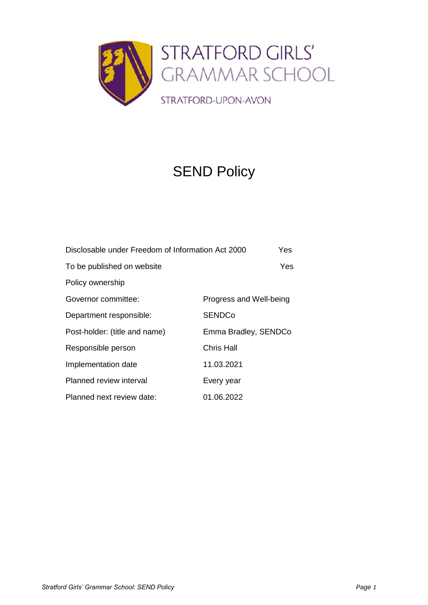

# SEND Policy

| Disclosable under Freedom of Information Act 2000 |                         |  |
|---------------------------------------------------|-------------------------|--|
| To be published on website                        | Yes                     |  |
| Policy ownership                                  |                         |  |
| Governor committee:                               | Progress and Well-being |  |
| Department responsible:                           | <b>SENDCo</b>           |  |
| Post-holder: (title and name)                     | Emma Bradley, SENDCo    |  |
| Responsible person                                | Chris Hall              |  |
| Implementation date                               | 11.03.2021              |  |
| Planned review interval                           | Every year              |  |
| Planned next review date:                         | 01.06.2022              |  |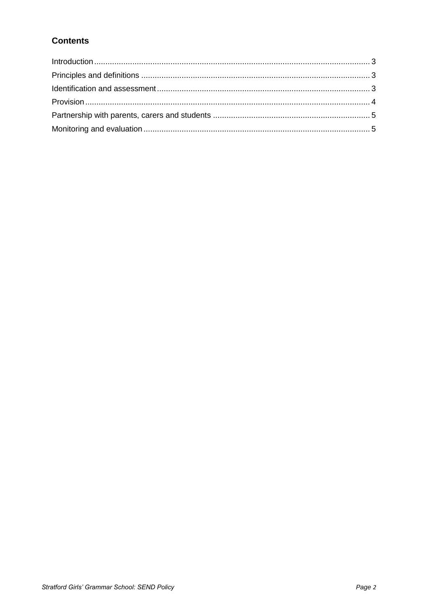# **Contents**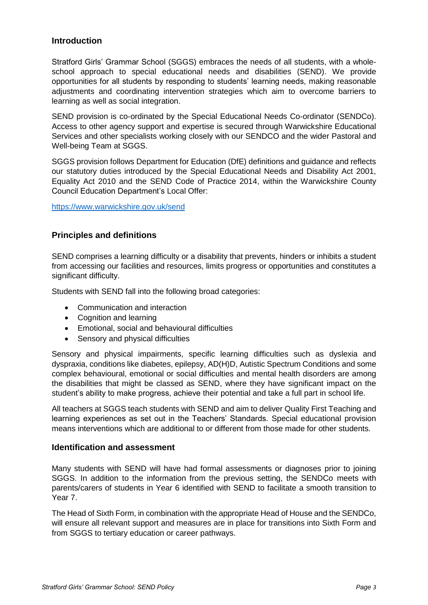# <span id="page-2-0"></span>**Introduction**

Stratford Girls' Grammar School (SGGS) embraces the needs of all students, with a wholeschool approach to special educational needs and disabilities (SEND). We provide opportunities for all students by responding to students' learning needs, making reasonable adjustments and coordinating intervention strategies which aim to overcome barriers to learning as well as social integration.

SEND provision is co-ordinated by the Special Educational Needs Co-ordinator (SENDCo). Access to other agency support and expertise is secured through Warwickshire Educational Services and other specialists working closely with our SENDCO and the wider Pastoral and Well-being Team at SGGS.

SGGS provision follows Department for Education (DfE) definitions and guidance and reflects our statutory duties introduced by the Special Educational Needs and Disability Act 2001, Equality Act 2010 and the SEND Code of Practice 2014, within the Warwickshire County Council Education Department's Local Offer:

<https://www.warwickshire.gov.uk/send>

# <span id="page-2-1"></span>**Principles and definitions**

SEND comprises a learning difficulty or a disability that prevents, hinders or inhibits a student from accessing our facilities and resources, limits progress or opportunities and constitutes a significant difficulty.

Students with SEND fall into the following broad categories:

- Communication and interaction
- Cognition and learning
- Emotional, social and behavioural difficulties
- Sensory and physical difficulties

Sensory and physical impairments, specific learning difficulties such as dyslexia and dyspraxia, conditions like diabetes, epilepsy, AD(H)D, Autistic Spectrum Conditions and some complex behavioural, emotional or social difficulties and mental health disorders are among the disabilities that might be classed as SEND, where they have significant impact on the student's ability to make progress, achieve their potential and take a full part in school life.

All teachers at SGGS teach students with SEND and aim to deliver Quality First Teaching and learning experiences as set out in the Teachers' Standards. Special educational provision means interventions which are additional to or different from those made for other students.

#### <span id="page-2-2"></span>**Identification and assessment**

Many students with SEND will have had formal assessments or diagnoses prior to joining SGGS. In addition to the information from the previous setting, the SENDCo meets with parents/carers of students in Year 6 identified with SEND to facilitate a smooth transition to Year 7.

The Head of Sixth Form, in combination with the appropriate Head of House and the SENDCo, will ensure all relevant support and measures are in place for transitions into Sixth Form and from SGGS to tertiary education or career pathways.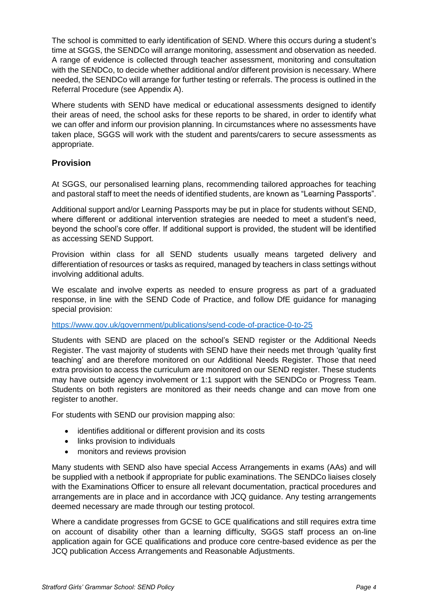The school is committed to early identification of SEND. Where this occurs during a student's time at SGGS, the SENDCo will arrange monitoring, assessment and observation as needed. A range of evidence is collected through teacher assessment, monitoring and consultation with the SENDCo, to decide whether additional and/or different provision is necessary. Where needed, the SENDCo will arrange for further testing or referrals. The process is outlined in the Referral Procedure (see Appendix A).

Where students with SEND have medical or educational assessments designed to identify their areas of need, the school asks for these reports to be shared, in order to identify what we can offer and inform our provision planning. In circumstances where no assessments have taken place, SGGS will work with the student and parents/carers to secure assessments as appropriate.

# <span id="page-3-0"></span>**Provision**

At SGGS, our personalised learning plans, recommending tailored approaches for teaching and pastoral staff to meet the needs of identified students, are known as "Learning Passports".

Additional support and/or Learning Passports may be put in place for students without SEND, where different or additional intervention strategies are needed to meet a student's need, beyond the school's core offer. If additional support is provided, the student will be identified as accessing SEND Support.

Provision within class for all SEND students usually means targeted delivery and differentiation of resources or tasks as required, managed by teachers in class settings without involving additional adults.

We escalate and involve experts as needed to ensure progress as part of a graduated response, in line with the SEND Code of Practice, and follow DfE guidance for managing special provision:

#### <https://www.gov.uk/government/publications/send-code-of-practice-0-to-25>

Students with SEND are placed on the school's SEND register or the Additional Needs Register. The vast majority of students with SEND have their needs met through 'quality first teaching' and are therefore monitored on our Additional Needs Register. Those that need extra provision to access the curriculum are monitored on our SEND register. These students may have outside agency involvement or 1:1 support with the SENDCo or Progress Team. Students on both registers are monitored as their needs change and can move from one register to another.

For students with SEND our provision mapping also:

- identifies additional or different provision and its costs
- links provision to individuals
- monitors and reviews provision

Many students with SEND also have special Access Arrangements in exams (AAs) and will be supplied with a netbook if appropriate for public examinations. The SENDCo liaises closely with the Examinations Officer to ensure all relevant documentation, practical procedures and arrangements are in place and in accordance with JCQ guidance. Any testing arrangements deemed necessary are made through our testing protocol.

Where a candidate progresses from GCSE to GCE qualifications and still requires extra time on account of disability other than a learning difficulty, SGGS staff process an on-line application again for GCE qualifications and produce core centre-based evidence as per the JCQ publication Access Arrangements and Reasonable Adjustments.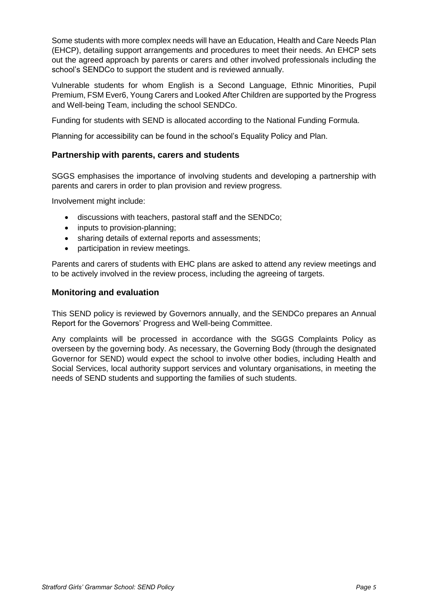Some students with more complex needs will have an Education, Health and Care Needs Plan (EHCP), detailing support arrangements and procedures to meet their needs. An EHCP sets out the agreed approach by parents or carers and other involved professionals including the school's SENDCo to support the student and is reviewed annually.

Vulnerable students for whom English is a Second Language, Ethnic Minorities, Pupil Premium, FSM Ever6, Young Carers and Looked After Children are supported by the Progress and Well-being Team, including the school SENDCo.

Funding for students with SEND is allocated according to the National Funding Formula.

Planning for accessibility can be found in the school's Equality Policy and Plan.

### <span id="page-4-0"></span>**Partnership with parents, carers and students**

SGGS emphasises the importance of involving students and developing a partnership with parents and carers in order to plan provision and review progress.

Involvement might include:

- discussions with teachers, pastoral staff and the SENDCo;
- inputs to provision-planning;
- sharing details of external reports and assessments;
- participation in review meetings.

Parents and carers of students with EHC plans are asked to attend any review meetings and to be actively involved in the review process, including the agreeing of targets.

### <span id="page-4-1"></span>**Monitoring and evaluation**

This SEND policy is reviewed by Governors annually, and the SENDCo prepares an Annual Report for the Governors' Progress and Well-being Committee.

Any complaints will be processed in accordance with the SGGS Complaints Policy as overseen by the governing body. As necessary, the Governing Body (through the designated Governor for SEND) would expect the school to involve other bodies, including Health and Social Services, local authority support services and voluntary organisations, in meeting the needs of SEND students and supporting the families of such students.